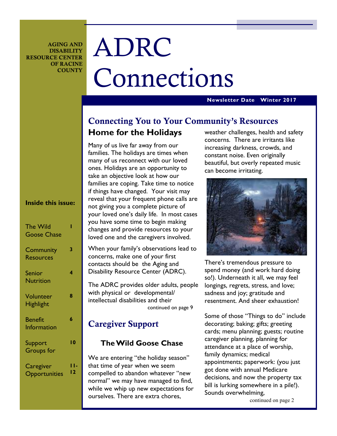**AGING AND DISABILITY RESOURCE CENTER OF RACINE COUNTY** 

# ADRC Connections

### **Newsletter Date Winter 2017**

# **Connecting You to Your Community's Resources Home for the Holidays**

Many of us live far away from our families. The holidays are times when many of us reconnect with our loved ones. Holidays are an opportunity to take an objective look at how our families are coping. Take time to notice if things have changed. Your visit may reveal that your frequent phone calls are not giving you a complete picture of your loved one's daily life. In most cases you have some time to begin making changes and provide resources to your loved one and the caregivers involved.

When your family's observations lead to concerns, make one of your first contacts should be the Aging and Disability Resource Center (ADRC).

The ADRC provides older adults, people with physical or developmental/ intellectual disabilities and their continued on page 9

# **Caregiver Support**

### **The Wild Goose Chase**

We are entering "the holiday season" that time of year when we seem compelled to abandon whatever "new normal" we may have managed to find, while we whip up new expectations for ourselves. There are extra chores,

weather challenges, health and safety concerns. There are irritants like increasing darkness, crowds, and constant noise. Even originally beautiful, but overly repeated music can become irritating.



There's tremendous pressure to spend money (and work hard doing so!). Underneath it all, we may feel longings, regrets, stress, and love; sadness and joy; gratitude and resentment. And sheer exhaustion!

Some of those "Things to do" include decorating; baking; gifts; greeting cards; menu planning; guests; routine caregiver planning, planning for attendance at a place of worship, family dynamics; medical appointments; paperwork: (you just got done with annual Medicare decisions, and now the property tax bill is lurking somewhere in a pile!). Sounds overwhelming,

continued on page 2

### **Inside this issue:**

| <b>The Wild</b><br><b>Goose Chase</b> |    |
|---------------------------------------|----|
| Community<br><b>Resources</b>         | 3  |
| <b>Senior</b><br><b>Nutrition</b>     | 4  |
| Volunteer<br><b>Highlight</b>         | 8  |
| <b>Benefit</b><br><b>Information</b>  | 6  |
| Support<br><b>Groups</b> for          | ۱0 |
| Caregiver<br>Opportunities            |    |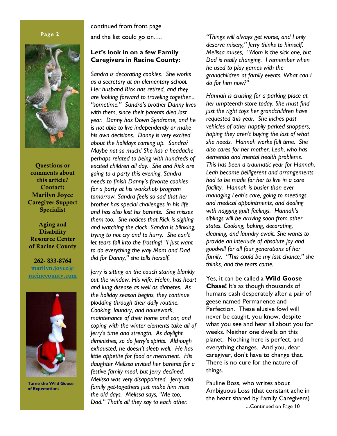### **Page 2**



**Questions or comments about this article? Contact: Marilyn Joyce Caregiver Support Specialist** 

**Aging and Disability Resource Center of Racine County** 

**262- 833-8764 marilyn.joyce@ racinecounty.com**



**Tame the Wild Goose of Expectations** 

continued from front page

and the list could go on….

### **Let's look in on a few Family Caregivers in Racine County:**

*Sandra is decorating cookies. She works as a secretary at an elementary school. Her husband Rick has retired, and they are looking forward to traveling together... "sometime." Sandra's brother Danny lives with them, since their parents died last year. Danny has Down Syndrome, and he is not able to live independently or make his own decisions. Danny is very excited about the holidays coming up. Sandra? Maybe not so much! She has a headache perhaps related to being with hundreds of excited children all day. She and Rick are going to a party this evening. Sandra needs to finish Danny's favorite cookies for a party at his workshop program tomorrow. Sandra feels so sad that her brother has special challenges in his life and has also lost his parents. She misses them too. She notices that Rick is sighing and watching the clock. Sandra is blinking, trying to not cry and to hurry. She can't let tears fall into the frosting! "I just want to do everything the way Mom and Dad did for Danny," she tells herself.* 

*Jerry is sitting on the couch staring blankly out the window. His wife, Helen, has heart and lung disease as well as diabetes. As the holiday season begins, they continue plodding through their daily routine. Cooking, laundry, and housework, maintenance of their home and car, and coping with the winter elements take all of Jerry's time and strength. As daylight diminishes, so do Jerry's spirits. Although exhausted, he doesn't sleep well. He has little appetite for food or merriment. His daughter Melissa invited her parents for a festive family meal, but Jerry declined. Melissa was very disappointed. Jerry said family get-togethers just make him miss the old days. Melissa says, "Me too, Dad." That's all they say to each other.* 

*"Things will always get worse, and I only deserve misery," Jerry thinks to himself. Melissa muses, "Mom is the sick one, but Dad is really changing. I remember when he used to play games with the grandchildren at family events. What can I do for him now?"* 

*Hannah is cruising for a parking place at her umpteenth store today. She must find just the right toys her grandchildren have requested this year. She inches past vehicles of other happily parked shoppers, hoping they aren't buying the last of what she needs. Hannah works full time. She also cares for her mother, Leah, who has dementia and mental health problems. This has been a traumatic year for Hannah. Leah became belligerent and arrangements had to be made for her to live in a care facility. Hannah is busier than ever managing Leah's care, going to meetings and medical appointments, and dealing with nagging guilt feelings. Hannah's siblings will be arriving soon from other states. Cooking, baking, decorating, cleaning, and laundry await. She wants to provide an interlude of absolute joy and goodwill for all four generations of her family. "This could be my last chance," she thinks, and the tears come.* 

Yes, it can be called a **Wild Goose Chase!** It's as though thousands of humans dash desperately after a pair of geese named Permanence and Perfection. These elusive fowl will never be caught, you know, despite what you see and hear all about you for weeks. Neither one dwells on this planet. Nothing here is perfect, and everything changes. And you, dear caregiver, don't have to change that. There is no cure for the nature of things.

Pauline Boss, who writes about Ambiguous Loss (that constant ache in the heart shared by Family Caregivers) ...Continued on Page 10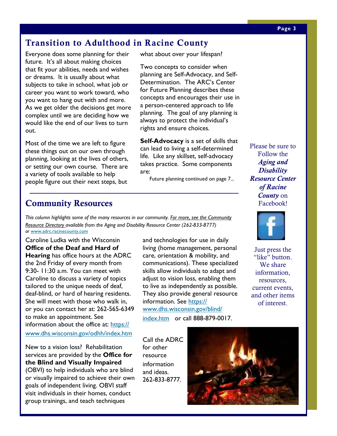# **Transition to Adulthood in Racine County**

Everyone does some planning for their future. It's all about making choices that fit your abilities, needs and wishes or dreams. It is usually about what subjects to take in school, what job or career you want to work toward, who you want to hang out with and more. As we get older the decisions get more complex until we are deciding how we would like the end of our lives to turn out.

Most of the time we are left to figure these things out on our own through planning, looking at the lives of others, or setting our own course. There are a variety of tools available to help people figure out their next steps, but

what about over your lifespan?

Two concepts to consider when planning are Self-Advocacy, and Self-Determination. The ARC's Center for Future Planning describes these concepts and encourages their use in a person-centered approach to life planning. The goal of any planning is always to protect the individual's rights and ensure choices.

**Self-Advocacy** is a set of skills that can lead to living a self-determined life. Like any skillset, self-advocacy takes practice. Some components are:

Future planning continued on page 7...

# **Community Resources**

*This column highlights some of the many resources in our community. For more, see the Community Resource Directory available from the Aging and Disability Resource Center (262-833-8777) or* www.adrc.racinecounty.com

Caroline Ludka with the Wisconsin **Office of the Deaf and Hard of Hearing** has office hours at the ADRC the 2nd Friday of every month from 9:30- 11:30 a.m. You can meet with Caroline to discuss a variety of topics tailored to the unique needs of deaf, deaf-blind, or hard of hearing residents. She will meet with those who walk in, or you can contact her at: 262-565-6349 to make an appointment. See information about the office at: https:// www.dhs.wisconsin.gov/odhh/index.htm

New to a vision loss? Rehabilitation services are provided by the **Office for the Blind and Visually Impaired**  (OBVI) to help individuals who are blind or visually impaired to achieve their own goals of independent living. OBVI staff visit individuals in their homes, conduct group trainings, and teach techniques

and technologies for use in daily living (home management, personal care, orientation & mobility, and communications). These specialized skills allow individuals to adapt and adjust to vision loss, enabling them to live as independently as possible. They also provide general resource information. See https:// www.dhs.wisconsin.gov/blind/

index.htm or call 888-879-0017.

Call the ADRC for other resource information and ideas. 262-833-8777.



Please be sure to Follow the *Aging and Disability Resource Center of Racine County* on Facebook!



Just press the "like" button. We share information, resources, current events, and other items of interest.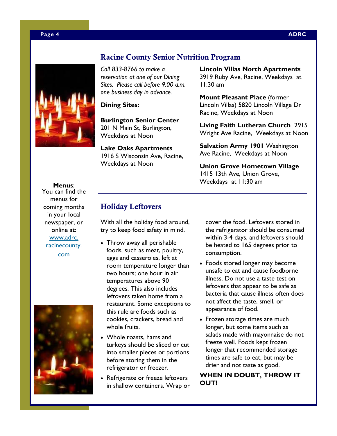

### **Racine County Senior Nutrition Program**

*Call 833-8766 to make a reservation at one of our Dining Sites. Please call before 9:00 a.m. one business day in advance.* 

**Dining Sites:** 

**Burlington Senior Center**  201 N Main St, Burlington, Weekdays at Noon

**Lake Oaks Apartments**  1916 S Wisconsin Ave, Racine, Weekdays at Noon

**Lincoln Villas North Apartments**  3919 Ruby Ave, Racine, Weekdays at 11:30 am

**Mount Pleasant Place** (former Lincoln Villas) 5820 Lincoln Village Dr Racine, Weekdays at Noon

**Living Faith Lutheran Church** 2915 Wright Ave Racine, Weekdays at Noon

**Salvation Army 1901** Washington Ave Racine, Weekdays at Noon

**Union Grove Hometown Village**  1415 13th Ave, Union Grove, Weekdays at 11:30 am

**Menus**:

You can find the menus for coming months in your local newspaper, or online at: www.adrc. racinecounty. com



# **Holiday Leftovers**

With all the holiday food around, try to keep food safety in mind.

- Throw away all perishable foods, such as meat, poultry, eggs and casseroles, left at room temperature longer than two hours; one hour in air temperatures above 90 degrees. This also includes leftovers taken home from a restaurant. Some exceptions to this rule are foods such as cookies, crackers, bread and whole fruits.
- Whole roasts, hams and turkeys should be sliced or cut into smaller pieces or portions before storing them in the refrigerator or freezer.
- Refrigerate or freeze leftovers in shallow containers. Wrap or

cover the food. Leftovers stored in the refrigerator should be consumed within 3-4 days, and leftovers should be heated to 165 degrees prior to consumption.

- Foods stored longer may become unsafe to eat and cause foodborne illness. Do not use a taste test on leftovers that appear to be safe as bacteria that cause illness often does not affect the taste, smell, or appearance of food.
- Frozen storage times are much longer, but some items such as salads made with mayonnaise do not freeze well. Foods kept frozen longer that recommended storage times are safe to eat, but may be drier and not taste as good.

**WHEN IN DOUBT, THROW IT OUT!**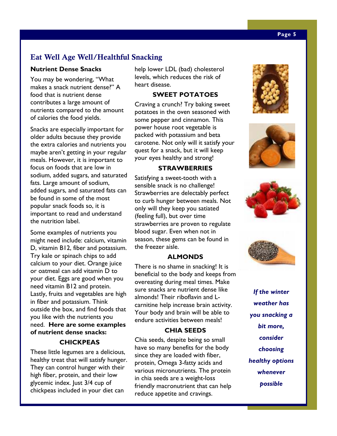# **Eat Well Age Well/Healthful Snacking**

### **Nutrient Dense Snacks**

You may be wondering, "What makes a snack nutrient dense?" A food that is nutrient dense contributes a large amount of nutrients compared to the amount of calories the food yields.

Snacks are especially important for older adults because they provide the extra calories and nutrients you maybe aren't getting in your regular meals. However, it is important to focus on foods that are low in sodium, added sugars, and saturated fats. Large amount of sodium, added sugars, and saturated fats can be found in some of the most popular snack foods so, it is important to read and understand the nutrition label.

Some examples of nutrients you might need include: calcium, vitamin D, vitamin B12, fiber and potassium. Try kale or spinach chips to add calcium to your diet. Orange juice or oatmeal can add vitamin D to your diet. Eggs are good when you need vitamin B12 and protein. Lastly, fruits and vegetables are high in fiber and potassium. Think outside the box, and find foods that you like with the nutrients you need. **Here are some examples of nutrient dense snacks:** 

# **CHICKPEAS**

These little legumes are a delicious, healthy treat that will satisfy hunger. They can control hunger with their high fiber, protein, and their low glycemic index. Just 3/4 cup of chickpeas included in your diet can

help lower LDL (bad) cholesterol levels, which reduces the risk of heart disease.

### **SWEET POTATOES**

Craving a crunch? Try baking sweet potatoes in the oven seasoned with some pepper and cinnamon. This power house root vegetable is packed with potassium and beta carotene. Not only will it satisfy your quest for a snack, but it will keep your eyes healthy and strong!

### **STRAWBERRIES**

Satisfying a sweet-tooth with a sensible snack is no challenge! Strawberries are delectably perfect to curb hunger between meals. Not only will they keep you satiated (feeling full), but over time strawberries are proven to regulate blood sugar. Even when not in season, these gems can be found in the freezer aisle.

### **ALMONDS**

There is no shame in snacking! It is beneficial to the body and keeps from overeating during meal times. Make sure snacks are nutrient dense like almonds! Their riboflavin and Lcarnitine help increase brain activity. Your body and brain will be able to endure activities between meals!

### **CHIA SEEDS**

Chia seeds, despite being so small have so many benefits for the body since they are loaded with fiber, protein, Omega 3-fatty acids and various micronutrients. The protein in chia seeds are a weight-loss friendly macronutrient that can help reduce appetite and cravings.









*If the winter weather has you snacking a bit more, consider choosing healthy options whenever possible*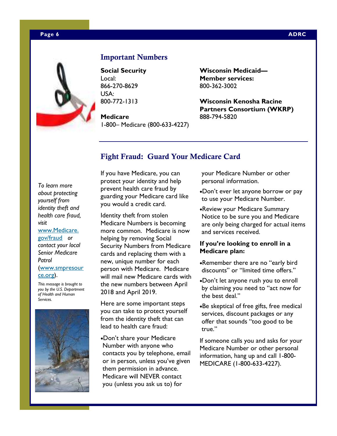### **Page 6 ADRC 2012 12:00:00 ADRC 2013 12:00:00 ADRC 2014 12:00:00 ADRC**



### **Important Numbers**

**Social Security**  Local: 866-270-8629 USA: 800-772-1313

**Medicare**  1-800– Medicare (800-633-4227) **Wisconsin Medicaid— Member services:**  800-362-3002

**Wisconsin Kenosha Racine Partners Consortium (WKRP)**  888-794-5820

### **Fight Fraud: Guard Your Medicare Card**

*To learn more about protecting yourself from identity theft and health care fraud, visit*  www.Medicare. gov/fraud *or contact your local Senior Medicare* 

*Patrol*  (www.smpresour ce.org).

*This message is brought to you by the U.S. Department of Health and Human Services.* 



If you have Medicare, you can protect your identity and help prevent health care fraud by guarding your Medicare card like you would a credit card.

Identity theft from stolen Medicare Numbers is becoming more common. Medicare is now helping by removing Social Security Numbers from Medicare cards and replacing them with a new, unique number for each person with Medicare. Medicare will mail new Medicare cards with the new numbers between April 2018 and April 2019.

Here are some important steps you can take to protect yourself from the identity theft that can lead to health care fraud:

•Don't share your Medicare Number with anyone who contacts you by telephone, email or in person, unless you've given them permission in advance. Medicare will NEVER contact you (unless you ask us to) for

your Medicare Number or other personal information.

- •Don't ever let anyone borrow or pay to use your Medicare Number.
- •Review your Medicare Summary Notice to be sure you and Medicare are only being charged for actual items and services received.

### **If you're looking to enroll in a Medicare plan:**

- •Remember there are no "early bird discounts" or "limited time offers."
- •Don't let anyone rush you to enroll by claiming you need to "act now for the best deal."
- •Be skeptical of free gifts, free medical services, discount packages or any offer that sounds "too good to be true."

If someone calls you and asks for your Medicare Number or other personal information, hang up and call 1-800- MEDICARE (1-800-633-4227).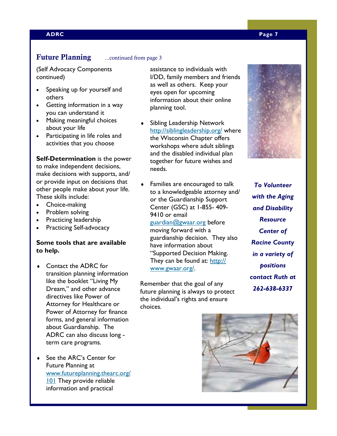### **ADRC Page 7**

### **Future Planning** ...continued from page 3

(Self Advocacy Components continued)

- Speaking up for yourself and others
- Getting information in a way you can understand it
- Making meaningful choices about your life
- Participating in life roles and activities that you choose

### **Self-Determination** is the power

to make independent decisions, make decisions with supports, and/ or provide input on decisions that other people make about your life. These skills include:

- Choice-making
- Problem solving
- Practicing leadership
- Practicing Self-advocacy

### **Some tools that are available to help.**

- ♦ Contact the ADRC for transition planning information like the booklet "Living My Dream," and other advance directives like Power of Attorney for Healthcare or Power of Attorney for finance forms, and general information about Guardianship. The ADRC can also discuss long term care programs.
- ♦ See the ARC's Center for Future Planning at www.futureplanning.thearc.org/ **101** They provide reliable information and practical

assistance to individuals with I/DD, family members and friends as well as others. Keep your eyes open for upcoming information about their online planning tool.

- Sibling Leadership Network http://siblingleadership.org/ where the Wisconsin Chapter offers workshops where adult siblings and the disabled individual plan together for future wishes and needs.
- Families are encouraged to talk to a knowledgeable attorney and/ or the Guardianship Support Center (GSC) at 1-855- 409- 9410 or email

guardian@gwaar.org before moving forward with a guardianship decision. They also have information about "Supported Decision Making. They can be found at: http:// www.gwaar.org/.

Remember that the goal of any future planning is always to protect the individual's rights and ensure choices.

*To Volunteer with the Aging and Disability Resource Center of Racine County in a variety of positions contact Ruth at 262-638-6337* 

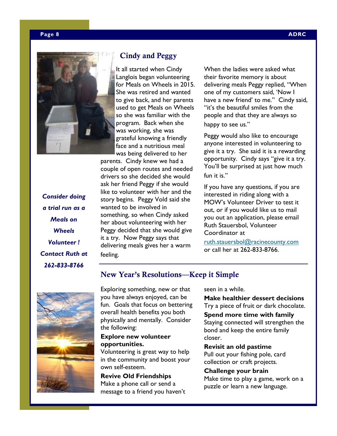

 **Cindy and Peggy** 

It all started when Cindy Langlois began volunteering for Meals on Wheels in 2015. She was retired and wanted to give back, and her parents used to get Meals on Wheels so she was familiar with the program. Back when she was working, she was grateful knowing a friendly face and a nutritious meal was being delivered to her

parents. Cindy knew we had a couple of open routes and needed drivers so she decided she would ask her friend Peggy if she would like to volunteer with her and the story begins. Peggy Vold said she wanted to be involved in something, so when Cindy asked her about volunteering with her Peggy decided that she would give it a try. Now Peggy says that delivering meals gives her a warm feeling.

When the ladies were asked what their favorite memory is about delivering meals Peggy replied, "When one of my customers said, 'Now I have a new friend' to me." Cindy said, "it's the beautiful smiles from the people and that they are always so happy to see us."

Peggy would also like to encourage anyone interested in volunteering to give it a try. She said it is a rewarding opportunity. Cindy says "give it a try. You'll be surprised at just how much fun it is."

If you have any questions, if you are interested in riding along with a MOW's Volunteer Driver to test it out, or if you would like us to mail you out an application, please email Ruth Stauersbol, Volunteer Coordinator at

ruth.stauersbol@racinecounty.com or call her at 262-833-8766.

*Consider doing a trial run as a Meals on Wheels Volunteer ! Contact Ruth at 262-833-8766* 

# **New Year's Resolutions—Keep it Simple**



Exploring something, new or that you have always enjoyed, can be fun. Goals that focus on bettering overall health benefits you both physically and mentally. Consider the following:

### **Explore new volunteer opportunities.**

Volunteering is great way to help in the community and boost your own self-esteem.

### **Revive Old Friendships**  Make a phone call or send a

message to a friend you haven't

seen in a while.

**Make healthier dessert decisions**  Try a piece of fruit or dark chocolate.

**Spend more time with family**  Staying connected will strengthen the bond and keep the entire family closer.

**Revisit an old pastime**  Pull out your fishing pole, card collection or craft projects.

**Challenge your brain**  Make time to play a game, work on a puzzle or learn a new language.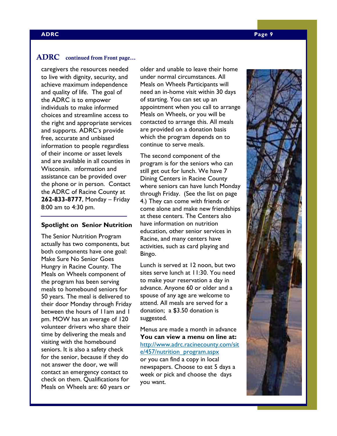### **ADRC continued from Front page...**

caregivers the resources needed to live with dignity, security, and achieve maximum independence and quality of life. The goal of the ADRC is to empower individuals to make informed choices and streamline access to the right and appropriate services and supports. ADRC's provide free, accurate and unbiased information to people regardless of their income or asset levels and are available in all counties in Wisconsin. Information and assistance can be provided over the phone or in person. Contact the ADRC of Racine County at **262-833-8777**, Monday – Friday 8:00 am to 4:30 pm.

### **Spotlight on Senior Nutrition**

The Senior Nutrition Program actually has two components, but both components have one goal: Make Sure No Senior Goes Hungry in Racine County. The Meals on Wheels component of the program has been serving meals to homebound seniors for 50 years. The meal is delivered to their door Monday through Friday between the hours of 11am and 1 pm. MOW has an average of 120 volunteer drivers who share their time by delivering the meals and visiting with the homebound seniors. It is also a safety check for the senior, because if they do not answer the door, we will contact an emergency contact to check on them. Qualifications for Meals on Wheels are: 60 years or

older and unable to leave their home under normal circumstances. All Meals on Wheels Participants will need an in-home visit within 30 days of starting. You can set up an appointment when you call to arrange Meals on Wheels, or you will be contacted to arrange this. All meals are provided on a donation basis which the program depends on to continue to serve meals.

The second component of the program is for the seniors who can still get out for lunch. We have 7 Dining Centers in Racine County where seniors can have lunch Monday through Friday. (See the list on page 4.) They can come with friends or come alone and make new friendships at these centers. The Centers also have information on nutrition education, other senior services in Racine, and many centers have activities, such as card playing and Bingo.

Lunch is served at 12 noon, but two sites serve lunch at 11:30. You need to make your reservation a day in advance. Anyone 60 or older and a spouse of any age are welcome to attend. All meals are served for a donation; a \$3.50 donation is suggested.

Menus are made a month in advance **You can view a menu on line at:**  http://www.adrc.racinecounty.com/sit e/457/nutrition\_program.aspx or you can find a copy in local newspapers. Choose to eat 5 days a week or pick and choose the days you want.

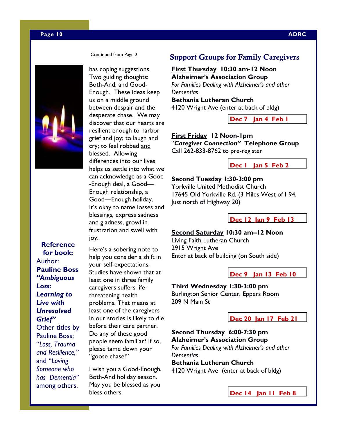### **Page 10 ADRC**



**Reference for book:**  Author: **Pauline Boss**  *"Ambiguous Loss: Learning to Live with Unresolved Grief"* Other titles by Pauline Boss; "*Loss, Trauma and Resilience,"* and "*Loving Someone who has Dementia"*  among others.

Continued from Page 2

has coping suggestions. Two guiding thoughts: Both-And, and Good-Enough. These ideas keep us on a middle ground between despair and the desperate chase. We may discover that our hearts are resilient enough to harbor grief and joy; to laugh and cry; to feel robbed and blessed. Allowing differences into our lives helps us settle into what we can acknowledge as a Good -Enough deal, a Good— Enough relationship, a Good—Enough holiday. It's okay to name losses and blessings, express sadness and gladness, growl in frustration and swell with joy.

Here's a sobering note to help you consider a shift in your self-expectations. Studies have shown that at least one in three family caregivers suffers lifethreatening health problems. That means at least one of the caregivers in our stories is likely to die before their care partner. Do any of these good people seem familiar? If so, please tame down your "goose chase!"

I wish you a Good-Enough, Both-And holiday season. May you be blessed as you bless others.

### **Support Groups for Family Caregivers**

**First Thursday 10:30 am-12 Noon Alzheimer's Association Group**  *For Families Dealing with Alzheimer's and other Dementias*  **Bethania Lutheran Church** 4120 Wright Ave (enter at back of bldg)

**Dec 7 Jan 4 Feb 1** 

**First Friday 12 Noon-1pm**  "*Caregiver Connection"* **Telephone Group**  Call 262-833-8762 to pre-register

**Dec 1 Jan 5 Feb 2** 

### **Second Tuesday 1:30-3:00 pm**

Yorkville United Methodist Church 17645 Old Yorkville Rd. (3 Miles West of I-94, Just north of Highway 20)

**Dec 12 Jan 9 Feb 13** 

### **Second Saturday 10:30 am–12 Noon**

Living Faith Lutheran Church 2915 Wright Ave Enter at back of building (on South side)

**Dec 9 Jan 13 Feb 10** 

### **Third Wednesday 1:30-3:00 pm**

Burlington Senior Center, Eppers Room 209 N Main St

**Dec 20 Jan 17 Feb 21** 

### **Second Thursday 6:00-7:30 pm Alzheimer's Association Group**

*For Families Dealing with Alzheimer's and other Dementias* 

**Bethania Lutheran Church**  4120 Wright Ave (enter at back of bldg)

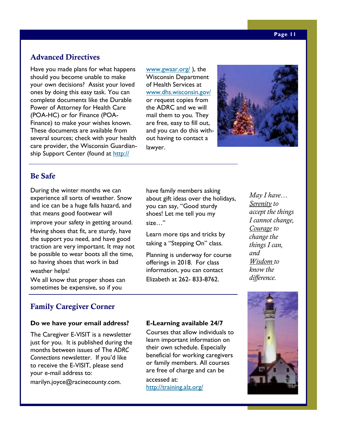# **Advanced Directives**

Have you made plans for what happens should you become unable to make your own decisions? Assist your loved ones by doing this easy task. You can complete documents like the Durable Power of Attorney for Health Care (POA-HC) or for Finance (POA-Finance) to make your wishes known. These documents are available from several sources; check with your health care provider, the Wisconsin Guardianship Support Center (found at http://

www.gwaar.org/ ), the Wisconsin Department of Health Services at www.dhs.wisconsin.gov/ or request copies from the ADRC and we will mail them to you. They are free, easy to fill out, and you can do this without having to contact a lawyer.



### **Be Safe**

During the winter months we can experience all sorts of weather. Snow and ice can be a huge falls hazard, and that means good footwear will improve your safety in getting around. Having shoes that fit, are sturdy, have the support you need, and have good traction are very important. It may not be possible to wear boots all the time, so having shoes that work in bad

weather helps!

We all know that proper shoes can sometimes be expensive, so if you

# **Family Caregiver Corner**

### **Do we have your email address?**

The Caregiver E-VISIT is a newsletter just for you. It is published during the months between issues of The *ADRC Connections* newsletter. If you'd like to receive the E-VISIT, please send your e-mail address to:

marilyn.joyce@racinecounty.com.

have family members asking about gift ideas over the holidays, you can say, "Good sturdy shoes! Let me tell you my size…"

Learn more tips and tricks by taking a "Stepping On" class.

Planning is underway for course offerings in 2018. For class information, you can contact Elizabeth at 262- 833-8762.

*May I have… Serenity to accept the things I cannot change, Courage to change the things I can, and Wisdom to know the difference.* 

### **E-Learning available 24/7**

Courses that allow individuals to learn important information on their own schedule. Especially beneficial for working caregivers or family members. All courses are free of charge and can be accessed at:

http://training.alz.org/